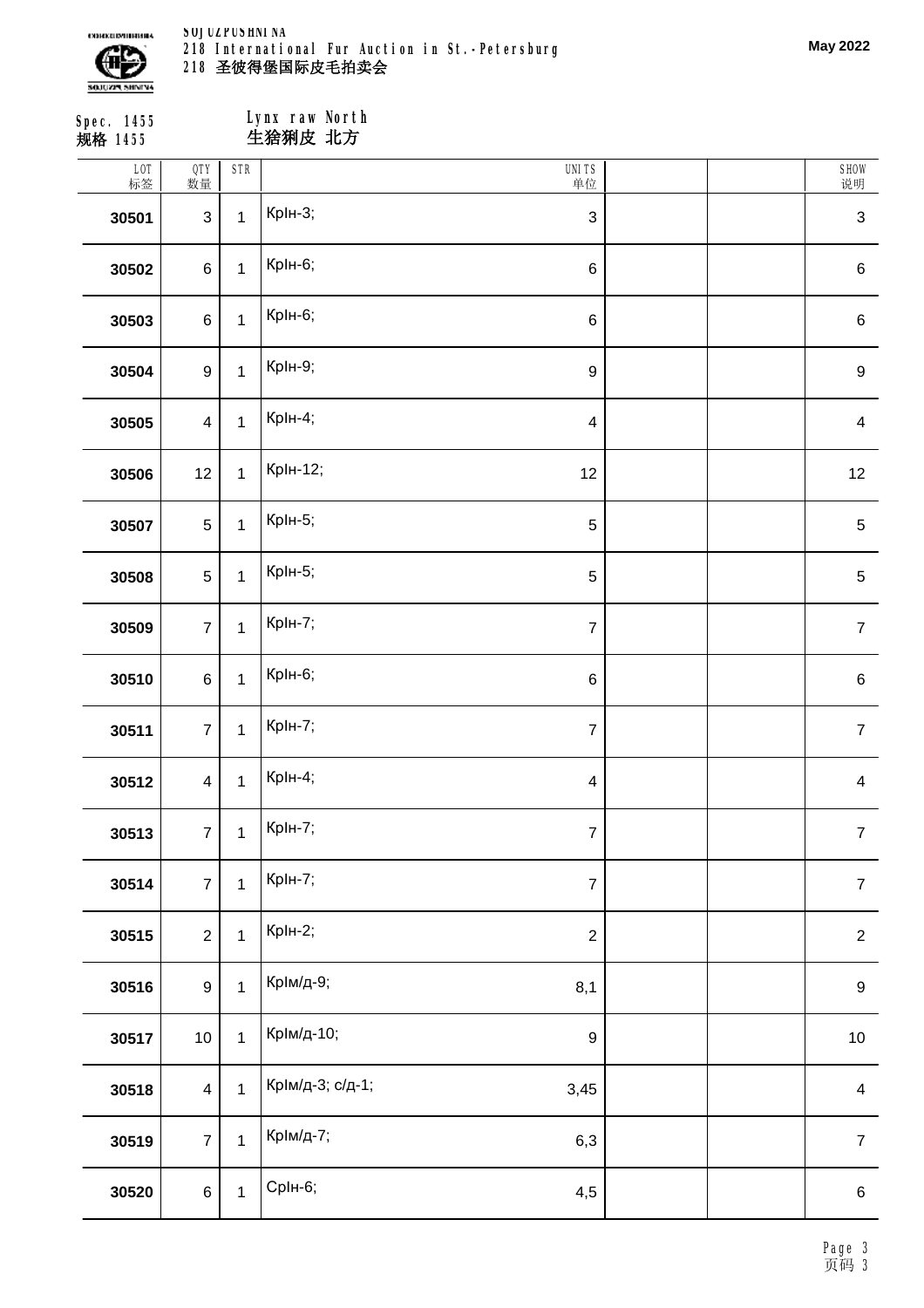

**SOJUZPUSHNINA 218 International Fur Auction in St.-Petersburg 圣彼得堡国际皮毛拍卖会**

| Spec. 1455<br>规格 1455 |                         |              | Lynx raw North<br>生猞猁皮 北方 |                           |  |                           |  |  |
|-----------------------|-------------------------|--------------|---------------------------|---------------------------|--|---------------------------|--|--|
| LOT<br>标签             | QTY<br>数量               | <b>STR</b>   |                           | <b>UNITS</b><br>单位        |  | SHOW<br>说明                |  |  |
| 30501                 | $\sqrt{3}$              | $\mathbf{1}$ | <b>КрІн-3;</b>            | $\ensuremath{\mathsf{3}}$ |  | $\ensuremath{\mathsf{3}}$ |  |  |
| 30502                 | $\,6\,$                 | $\mathbf{1}$ | КрІн-6;                   | $\,6$                     |  | $\,6$                     |  |  |
| 30503                 | $\,6$                   | $\mathbf{1}$ | КрІн-6;                   | $\,6\,$                   |  | $\,6$                     |  |  |
| 30504                 | $\boldsymbol{9}$        | $\mathbf 1$  | <b>КрІн-9;</b>            | $\boldsymbol{9}$          |  | $\boldsymbol{9}$          |  |  |
| 30505                 | $\overline{\mathbf{4}}$ | $\mathbf{1}$ | <b>КрІн-4;</b>            | $\overline{\mathbf{4}}$   |  | $\overline{\mathbf{4}}$   |  |  |
| 30506                 | 12                      | $\mathbf{1}$ | <b>КрІн-12;</b>           | 12                        |  | 12                        |  |  |
| 30507                 | $\sqrt{5}$              | $\mathbf{1}$ | <b>КрІн-5;</b>            | $\sqrt{5}$                |  | $\mathbf 5$               |  |  |
| 30508                 | $\mathbf 5$             | $\mathbf 1$  | <b>КрІн-5;</b>            | $\mathbf 5$               |  | $\mathbf 5$               |  |  |
| 30509                 | $\overline{7}$          | $\mathbf 1$  | <b>КрІн-7;</b>            | $\boldsymbol{7}$          |  | $\boldsymbol{7}$          |  |  |
| 30510                 | $\,6$                   | $\mathbf{1}$ | КрІн-6;                   | $\,6\,$                   |  | $\,6$                     |  |  |
| 30511                 | $\overline{7}$          | $\mathbf 1$  | <b>КрІн-7;</b>            | $\boldsymbol{7}$          |  | $\overline{7}$            |  |  |
| 30512                 | $\overline{\mathbf{4}}$ | $\mathbf 1$  | КрIн-4;                   | $\overline{4}$            |  | $\overline{\mathbf{4}}$   |  |  |
| 30513                 | $\overline{7}$          | $\mathbf{1}$ | <b>КрІн-7;</b>            | $\boldsymbol{7}$          |  | $\boldsymbol{7}$          |  |  |
| 30514                 | $\overline{7}$          | $\mathbf{1}$ | <b>КрІн-7;</b>            | $\boldsymbol{7}$          |  | $\overline{7}$            |  |  |
| 30515                 | $\overline{2}$          | $\mathbf{1}$ | <b>КрІн-2;</b>            | $\sqrt{2}$                |  | $\overline{2}$            |  |  |
| 30516                 | $\boldsymbol{9}$        | $\mathbf{1}$ | КрІм/д-9;                 | 8,1                       |  | $\boldsymbol{9}$          |  |  |
| 30517                 | $10$                    | $\mathbf{1}$ | КрІм/д-10;                | $\boldsymbol{9}$          |  | $10$                      |  |  |
| 30518                 | $\overline{\mathbf{4}}$ | $\mathbf{1}$ | КрІм/д-3; с/д-1;          | 3,45                      |  | $\overline{\mathbf{4}}$   |  |  |
| 30519                 | $\overline{7}$          | $\mathbf{1}$ | КрІм/д-7;                 | 6,3                       |  | $\boldsymbol{7}$          |  |  |
| 30520                 | $\,6$                   | $\mathbf{1}$ | <b>СрІн-6;</b>            | 4,5                       |  | $\,6$                     |  |  |